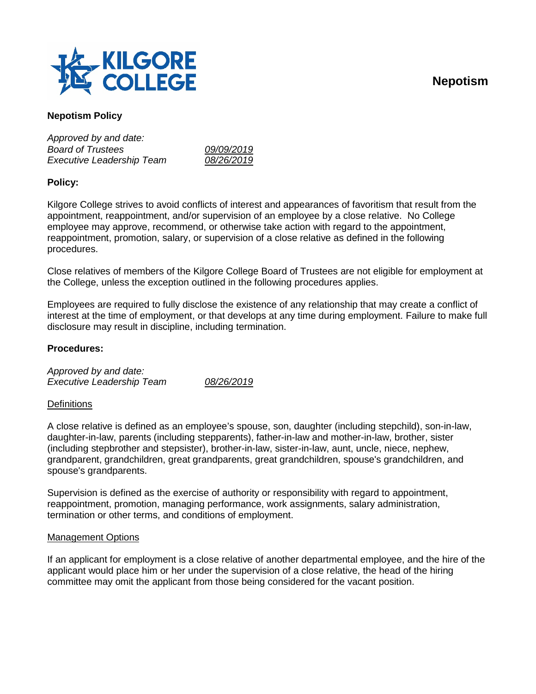



# **Nepotism Policy**

*Approved by and date: Board of Trustees 09/09/2019 Executive Leadership Team 08/26/2019*

## **Policy:**

Kilgore College strives to avoid conflicts of interest and appearances of favoritism that result from the appointment, reappointment, and/or supervision of an employee by a close relative. No College employee may approve, recommend, or otherwise take action with regard to the appointment, reappointment, promotion, salary, or supervision of a close relative as defined in the following procedures.

Close relatives of members of the Kilgore College Board of Trustees are not eligible for employment at the College, unless the exception outlined in the following procedures applies.

Employees are required to fully disclose the existence of any relationship that may create a conflict of interest at the time of employment, or that develops at any time during employment. Failure to make full disclosure may result in discipline, including termination.

### **Procedures:**

*Approved by and date: Executive Leadership Team 08/26/2019*

#### **Definitions**

A close relative is defined as an employee's spouse, son, daughter (including stepchild), son-in-law, daughter-in-law, parents (including stepparents), father-in-law and mother-in-law, brother, sister (including stepbrother and stepsister), brother-in-law, sister-in-law, aunt, uncle, niece, nephew, grandparent, grandchildren, great grandparents, great grandchildren, spouse's grandchildren, and spouse's grandparents.

Supervision is defined as the exercise of authority or responsibility with regard to appointment, reappointment, promotion, managing performance, work assignments, salary administration, termination or other terms, and conditions of employment.

#### Management Options

If an applicant for employment is a close relative of another departmental employee, and the hire of the applicant would place him or her under the supervision of a close relative, the head of the hiring committee may omit the applicant from those being considered for the vacant position.